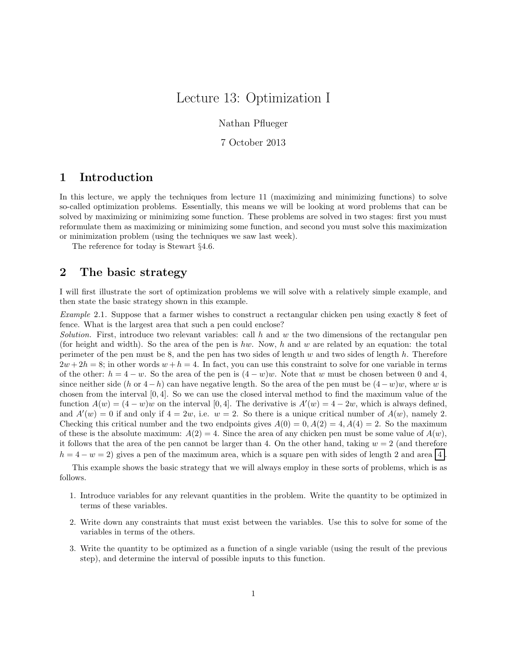## Lecture 13: Optimization I

Nathan Pflueger

7 October 2013

## 1 Introduction

In this lecture, we apply the techniques from lecture 11 (maximizing and minimizing functions) to solve so-called optimization problems. Essentially, this means we will be looking at word problems that can be solved by maximizing or minimizing some function. These problems are solved in two stages: first you must reformulate them as maximizing or minimizing some function, and second you must solve this maximization or minimization problem (using the techniques we saw last week).

The reference for today is Stewart §4.6.

## 2 The basic strategy

I will first illustrate the sort of optimization problems we will solve with a relatively simple example, and then state the basic strategy shown in this example.

Example 2.1. Suppose that a farmer wishes to construct a rectangular chicken pen using exactly 8 feet of fence. What is the largest area that such a pen could enclose?

Solution. First, introduce two relevant variables: call h and w the two dimensions of the rectangular pen (for height and width). So the area of the pen is hw. Now, h and w are related by an equation: the total perimeter of the pen must be 8, and the pen has two sides of length  $w$  and two sides of length  $h$ . Therefore  $2w + 2h = 8$ ; in other words  $w + h = 4$ . In fact, you can use this constraint to solve for one variable in terms of the other:  $h = 4 - w$ . So the area of the pen is  $(4 - w)w$ . Note that w must be chosen between 0 and 4, since neither side  $(h \text{ or } 4-h)$  can have negative length. So the area of the pen must be  $(4-w)w$ , where w is chosen from the interval [0, 4]. So we can use the closed interval method to find the maximum value of the function  $A(w) = (4 - w)w$  on the interval [0, 4]. The derivative is  $A'(w) = 4 - 2w$ , which is always defined, and  $A'(w) = 0$  if and only if  $4 = 2w$ , i.e.  $w = 2$ . So there is a unique critical number of  $A(w)$ , namely 2. Checking this critical number and the two endpoints gives  $A(0) = 0, A(2) = 4, A(4) = 2$ . So the maximum of these is the absolute maximum:  $A(2) = 4$ . Since the area of any chicken pen must be some value of  $A(w)$ , it follows that the area of the pen cannot be larger than 4. On the other hand, taking  $w = 2$  (and therefore  $h = 4 - w = 2$ ) gives a pen of the maximum area, which is a square pen with sides of length 2 and area 4.

This example shows the basic strategy that we will always employ in these sorts of problems, which is as follows.

- 1. Introduce variables for any relevant quantities in the problem. Write the quantity to be optimized in terms of these variables.
- 2. Write down any constraints that must exist between the variables. Use this to solve for some of the variables in terms of the others.
- 3. Write the quantity to be optimized as a function of a single variable (using the result of the previous step), and determine the interval of possible inputs to this function.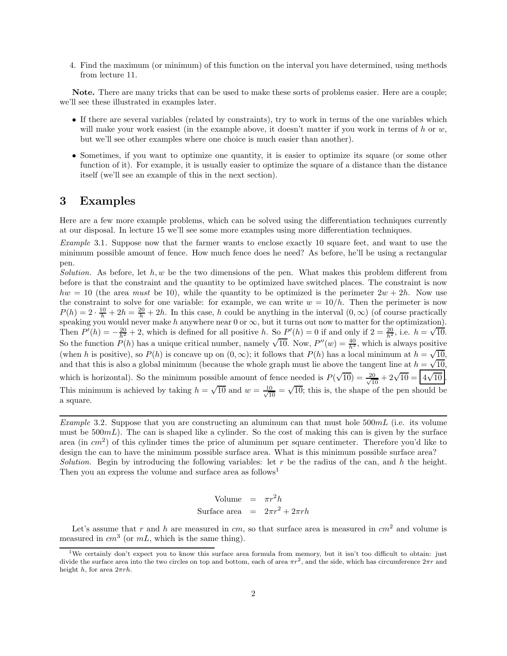4. Find the maximum (or minimum) of this function on the interval you have determined, using methods from lecture 11.

Note. There are many tricks that can be used to make these sorts of problems easier. Here are a couple; we'll see these illustrated in examples later.

- If there are several variables (related by constraints), try to work in terms of the one variables which will make your work easiest (in the example above, it doesn't matter if you work in terms of h or  $w$ , but we'll see other examples where one choice is much easier than another).
- Sometimes, if you want to optimize one quantity, it is easier to optimize its square (or some other function of it). For example, it is usually easier to optimize the square of a distance than the distance itself (we'll see an example of this in the next section).

## 3 Examples

Here are a few more example problems, which can be solved using the differentiation techniques currently at our disposal. In lecture 15 we'll see some more examples using more differentiation techniques.

Example 3.1. Suppose now that the farmer wants to enclose exactly 10 square feet, and want to use the minimum possible amount of fence. How much fence does he need? As before, he'll be using a rectangular pen.

Solution. As before, let  $h, w$  be the two dimensions of the pen. What makes this problem different from before is that the constraint and the quantity to be optimized have switched places. The constraint is now  $hw = 10$  (the area must be 10), while the quantity to be optimized is the perimeter  $2w + 2h$ . Now use the constraint to solve for one variable: for example, we can write  $w = 10/h$ . Then the perimeter is now  $P(h) = 2 \cdot \frac{10}{h} + 2h = \frac{20}{h} + 2h$ . In this case, h could be anything in the interval  $(0, \infty)$  (of course practically speaking you would never make h anywhere near 0 or  $\infty$ , but it turns out now to matter for the optimization). Then  $P'(h) = -\frac{20}{h^2} + 2$ , which is defined for all positive h. So  $P'(h) = 0$  if and only if  $2 = \frac{20}{h^2}$ , i.e.  $h = \sqrt{10}$ . So the function  $P(h)$  has a unique critical number, namely  $\sqrt{10}$ . Now,  $P''(w) = \frac{40}{h^3}$ , which is always positive (when h is positive), so  $P(h)$  is concave up on  $(0, \infty)$ ; it follows that  $P(h)$  has a local minimum at  $h = \sqrt{\frac{10}{h}}$ , and that this is also a global minimum (because the whole graph must lie above the tangent line at  $h = \sqrt{10}$ , which is horizontal). So the minimum possible amount of fence needed is  $P(\sqrt{10}) = \frac{20}{\sqrt{10}} + 2\sqrt{10} = \boxed{4\sqrt{10}}$ . This minimum is achieved by taking  $h = \sqrt{10}$  and  $w = \frac{10}{\sqrt{10}} = \sqrt{10}$ ; this is, the shape of the pen should be a square.

Example 3.2. Suppose that you are constructing an aluminum can that must hole  $500mL$  (i.e. its volume must be  $500mL$ ). The can is shaped like a cylinder. So the cost of making this can is given by the surface area (in  $cm<sup>2</sup>$ ) of this cylinder times the price of aluminum per square centimeter. Therefore you'd like to design the can to have the minimum possible surface area. What is this minimum possible surface area? Solution. Begin by introducing the following variables: let r be the radius of the can, and h the height. Then you an express the volume and surface area as follows<sup>1</sup>

> Volume =  $\pi r^2 h$ Surface area  $= 2\pi r^2 + 2\pi rh$

Let's assume that r and h are measured in  $cm$ , so that surface area is measured in  $cm<sup>2</sup>$  and volume is measured in  $cm^3$  (or  $mL$ , which is the same thing).

<sup>&</sup>lt;sup>1</sup>We certainly don't expect you to know this surface area formula from memory, but it isn't too difficult to obtain: just divide the surface area into the two circles on top and bottom, each of area  $\pi r^2$ , and the side, which has circumference  $2\pi r$  and height h, for area  $2\pi rh$ .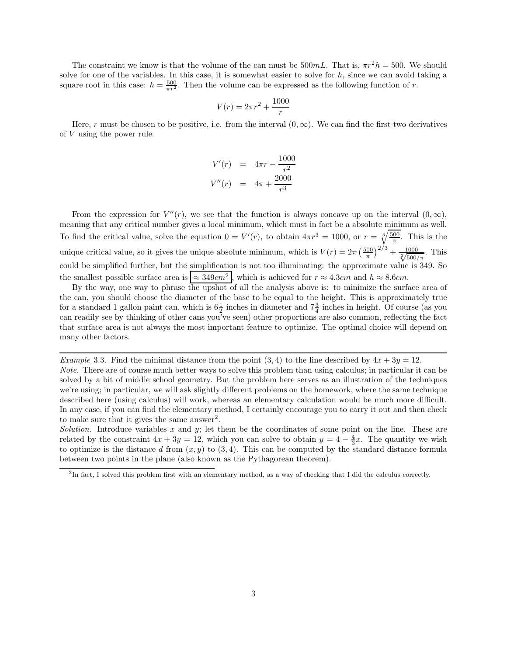The constraint we know is that the volume of the can must be  $500mL$ . That is,  $\pi r^2h = 500$ . We should solve for one of the variables. In this case, it is somewhat easier to solve for  $h$ , since we can avoid taking a square root in this case:  $h = \frac{500}{\pi r^2}$ . Then the volume can be expressed as the following function of r.

$$
V(r) = 2\pi r^2 + \frac{1000}{r}
$$

Here, r must be chosen to be positive, i.e. from the interval  $(0, \infty)$ . We can find the first two derivatives of V using the power rule.

$$
V'(r) = 4\pi r - \frac{1000}{r^2}
$$
  

$$
V''(r) = 4\pi + \frac{2000}{r^3}
$$

From the expression for  $V''(r)$ , we see that the function is always concave up on the interval  $(0, \infty)$ , meaning that any critical number gives a local minimum, which must in fact be a absolute minimum as well. To find the critical value, solve the equation  $0 = V'(r)$ , to obtain  $4\pi r^3 = 1000$ , or  $r = \sqrt[3]{\frac{500}{\pi}}$  $\frac{1}{\pi}$ . This is the unique critical value, so it gives the unique absolute minimum, which is  $V(r) = 2\pi \left(\frac{500}{\pi}\right)^2$  $\left(\frac{00}{\pi}\right)^{2/3}$  +  $\frac{1000}{\sqrt[3]{500/\pi}}$ . This could be simplified further, but the simplification is not too illuminating: the approximate value is 349. So the smallest possible surface area is  $\approx 349 \text{cm}^2$ , which is achieved for  $r \approx 4.3 \text{cm}$  and  $h \approx 8.6 \text{cm}$ .

By the way, one way to phrase the upshot of all the analysis above is: to minimize the surface area of the can, you should choose the diameter of the base to be equal to the height. This is approximately true for a standard 1 gallon paint can, which is  $6\frac{1}{2}$  inches in diameter and  $7\frac{3}{4}$  inches in height. Of course (as you can readily see by thinking of other cans you've seen) other proportions are also common, reflecting the fact that surface area is not always the most important feature to optimize. The optimal choice will depend on many other factors.

Example 3.3. Find the minimal distance from the point  $(3,4)$  to the line described by  $4x + 3y = 12$ .

Note. There are of course much better ways to solve this problem than using calculus; in particular it can be solved by a bit of middle school geometry. But the problem here serves as an illustration of the techniques we're using; in particular, we will ask slightly different problems on the homework, where the same technique described here (using calculus) will work, whereas an elementary calculation would be much more difficult. In any case, if you can find the elementary method, I certainly encourage you to carry it out and then check to make sure that it gives the same answer<sup>2</sup>.

Solution. Introduce variables x and y; let them be the coordinates of some point on the line. These are related by the constraint  $4x + 3y = 12$ , which you can solve to obtain  $y = 4 - \frac{4}{3}x$ . The quantity we wish to optimize is the distance d from  $(x, y)$  to  $(3, 4)$ . This can be computed by the standard distance formula between two points in the plane (also known as the Pythagorean theorem).

<sup>&</sup>lt;sup>2</sup>In fact, I solved this problem first with an elementary method, as a way of checking that I did the calculus correctly.